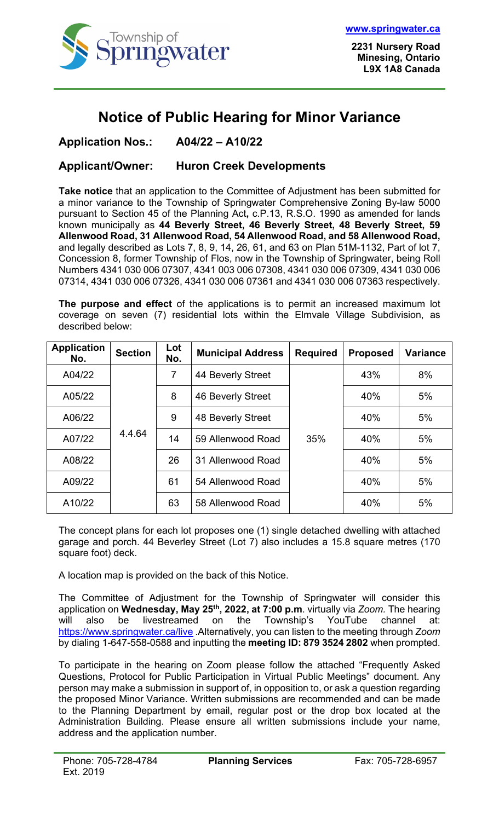

## **Notice of Public Hearing for Minor Variance**

## **Application Nos.: A04/22 – A10/22**

## **Applicant/Owner: Huron Creek Developments**

**Take notice** that an application to the Committee of Adjustment has been submitted for a minor variance to the Township of Springwater Comprehensive Zoning By-law 5000 pursuant to Section 45 of the Planning Act**,** c.P.13, R.S.O. 1990 as amended for lands known municipally as **44 Beverly Street, 46 Beverly Street, 48 Beverly Street, 59 Allenwood Road, 31 Allenwood Road, 54 Allenwood Road, and 58 Allenwood Road,** and legally described as Lots 7, 8, 9, 14, 26, 61, and 63 on Plan 51M-1132, Part of lot 7, Concession 8, former Township of Flos, now in the Township of Springwater, being Roll Numbers 4341 030 006 07307, 4341 003 006 07308, 4341 030 006 07309, 4341 030 006 07314, 4341 030 006 07326, 4341 030 006 07361 and 4341 030 006 07363 respectively.

**The purpose and effect** of the applications is to permit an increased maximum lot coverage on seven (7) residential lots within the Elmvale Village Subdivision, as described below:

| <b>Application</b><br>No. | <b>Section</b> | Lot<br>No.     | <b>Municipal Address</b> | <b>Required</b> | <b>Proposed</b> | <b>Variance</b> |
|---------------------------|----------------|----------------|--------------------------|-----------------|-----------------|-----------------|
| A04/22                    | 4.4.64         | $\overline{7}$ | 44 Beverly Street        | 35%             | 43%             | 8%              |
| A05/22                    |                | 8              | 46 Beverly Street        |                 | 40%             | 5%              |
| A06/22                    |                | 9              | 48 Beverly Street        |                 | 40%             | 5%              |
| A07/22                    |                | 14             | 59 Allenwood Road        |                 | 40%             | 5%              |
| A08/22                    |                | 26             | 31 Allenwood Road        |                 | 40%             | 5%              |
| A09/22                    |                | 61             | 54 Allenwood Road        |                 | 40%             | 5%              |
| A10/22                    |                | 63             | 58 Allenwood Road        |                 | 40%             | 5%              |

The concept plans for each lot proposes one (1) single detached dwelling with attached garage and porch. 44 Beverley Street (Lot 7) also includes a 15.8 square metres (170 square foot) deck.

A location map is provided on the back of this Notice.

The Committee of Adjustment for the Township of Springwater will consider this application on **Wednesday, May 25th, 2022, at 7:00 p.m**. virtually via *Zoom.* The hearing will also be livestreamed on the Township's YouTube channel at: <https://www.springwater.ca/live> .Alternatively, you can listen to the meeting through *Zoom*  by dialing 1-647-558-0588 and inputting the **meeting ID: 879 3524 2802** when prompted.

To participate in the hearing on Zoom please follow the attached "Frequently Asked Questions, Protocol for Public Participation in Virtual Public Meetings" document. Any person may make a submission in support of, in opposition to, or ask a question regarding the proposed Minor Variance. Written submissions are recommended and can be made to the Planning Department by email, regular post or the drop box located at the Administration Building. Please ensure all written submissions include your name, address and the application number.